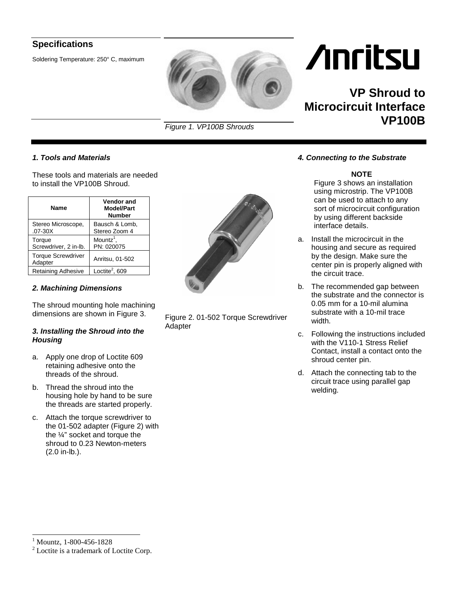### **Specifications**

Soldering Temperature: 250° C, maximum



*Figure 1. VP100B Shrouds*

#### *1. Tools and Materials*

These tools and materials are needed to install the VP100B Shroud.

| Name                                 | <b>Vendor and</b><br><b>Model/Part</b><br><b>Number</b> |
|--------------------------------------|---------------------------------------------------------|
| Stereo Microscope,<br>$.07 - 30X$    | Bausch & Lomb,<br>Stereo Zoom 4                         |
| Torque<br>Screwdriver, 2 in-lb.      | $M$ ountz <sup>1</sup> ,<br>PN: 020075                  |
| <b>Torque Screwdriver</b><br>Adapter | Anritsu, 01-502                                         |
| Retaining Adhesive                   | Loctite <sup>2</sup> , 609                              |

#### *2. Machining Dimensions*

The shroud mounting hole machining dimensions are shown in Figure 3.

#### *3. Installing the Shroud into the Housing*

- a. Apply one drop of Loctite 609 retaining adhesive onto the threads of the shroud.
- b. Thread the shroud into the housing hole by hand to be sure the threads are started properly.
- c. Attach the torque screwdriver to the 01-502 adapter (Figure 2) with the  $\frac{1}{4}$ " socket and torque the shroud to 0.23 Newton-meters (2.0 in-lb.).



Figure 2. 01-502 Torque Screwdriver Adapter

# **Anritsu**

## **VP Shroud to Microcircuit Interface VP100B**

*4. Connecting to the Substrate* 

#### **NOTE**

Figure 3 shows an installation using microstrip. The VP100B can be used to attach to any sort of microcircuit configuration by using different backside interface details.

- a. Install the microcircuit in the housing and secure as required by the design. Make sure the center pin is properly aligned with the circuit trace.
- b. The recommended gap between the substrate and the connector is 0.05 mm for a 10-mil alumina substrate with a 10-mil trace width.
- c. Following the instructions included with the V110-1 Stress Relief Contact, install a contact onto the shroud center pin.
- d. Attach the connecting tab to the circuit trace using parallel gap welding.

 1 Mountz, 1-800-456-1828

<sup>&</sup>lt;sup>2</sup> Loctite is a trademark of Loctite Corp.